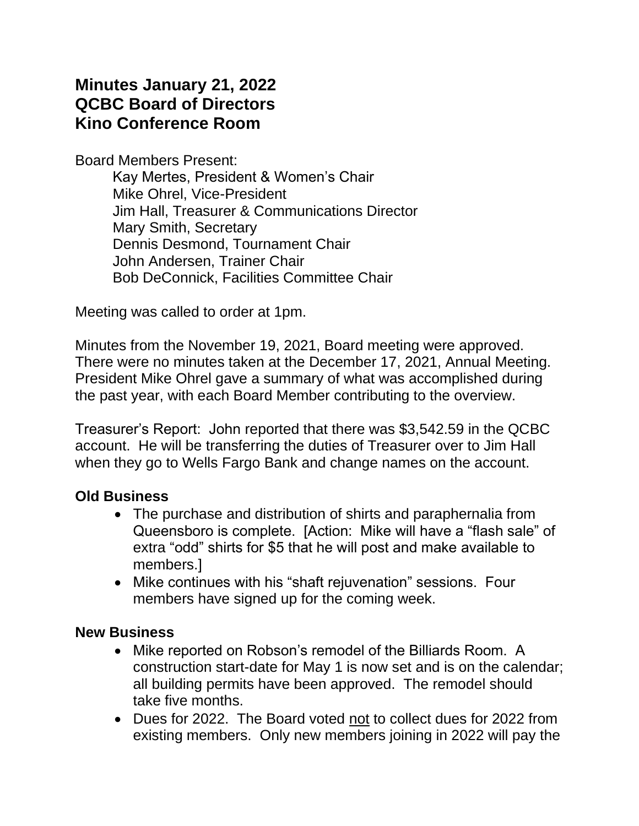# **Minutes January 21, 2022 QCBC Board of Directors Kino Conference Room**

Board Members Present:

Kay Mertes, President & Women's Chair Mike Ohrel, Vice-President Jim Hall, Treasurer & Communications Director Mary Smith, Secretary Dennis Desmond, Tournament Chair John Andersen, Trainer Chair Bob DeConnick, Facilities Committee Chair

Meeting was called to order at 1pm.

Minutes from the November 19, 2021, Board meeting were approved. There were no minutes taken at the December 17, 2021, Annual Meeting. President Mike Ohrel gave a summary of what was accomplished during the past year, with each Board Member contributing to the overview.

Treasurer's Report: John reported that there was \$3,542.59 in the QCBC account. He will be transferring the duties of Treasurer over to Jim Hall when they go to Wells Fargo Bank and change names on the account.

### **Old Business**

- The purchase and distribution of shirts and paraphernalia from Queensboro is complete. [Action: Mike will have a "flash sale" of extra "odd" shirts for \$5 that he will post and make available to members.]
- Mike continues with his "shaft rejuvenation" sessions. Four members have signed up for the coming week.

### **New Business**

- Mike reported on Robson's remodel of the Billiards Room. A construction start-date for May 1 is now set and is on the calendar; all building permits have been approved. The remodel should take five months.
- Dues for 2022. The Board voted not to collect dues for 2022 from existing members. Only new members joining in 2022 will pay the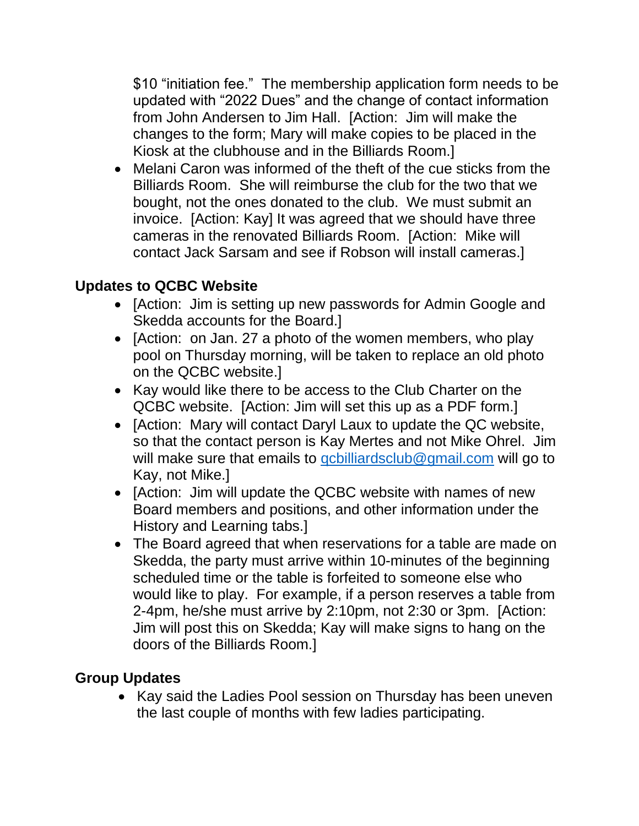\$10 "initiation fee." The membership application form needs to be updated with "2022 Dues" and the change of contact information from John Andersen to Jim Hall. [Action: Jim will make the changes to the form; Mary will make copies to be placed in the Kiosk at the clubhouse and in the Billiards Room.]

• Melani Caron was informed of the theft of the cue sticks from the Billiards Room. She will reimburse the club for the two that we bought, not the ones donated to the club. We must submit an invoice. [Action: Kay] It was agreed that we should have three cameras in the renovated Billiards Room. [Action: Mike will contact Jack Sarsam and see if Robson will install cameras.]

## **Updates to QCBC Website**

- [Action: Jim is setting up new passwords for Admin Google and Skedda accounts for the Board.]
- [Action: on Jan. 27 a photo of the women members, who play pool on Thursday morning, will be taken to replace an old photo on the QCBC website.]
- Kay would like there to be access to the Club Charter on the QCBC website. [Action: Jim will set this up as a PDF form.]
- [Action: Mary will contact Daryl Laux to update the QC website, so that the contact person is Kay Mertes and not Mike Ohrel. Jim will make sure that emails to *gcbilliardsclub@gmail.com* will go to Kay, not Mike.]
- [Action: Jim will update the QCBC website with names of new Board members and positions, and other information under the History and Learning tabs.]
- The Board agreed that when reservations for a table are made on Skedda, the party must arrive within 10-minutes of the beginning scheduled time or the table is forfeited to someone else who would like to play. For example, if a person reserves a table from 2-4pm, he/she must arrive by 2:10pm, not 2:30 or 3pm. [Action: Jim will post this on Skedda; Kay will make signs to hang on the doors of the Billiards Room.]

## **Group Updates**

• Kay said the Ladies Pool session on Thursday has been uneven the last couple of months with few ladies participating.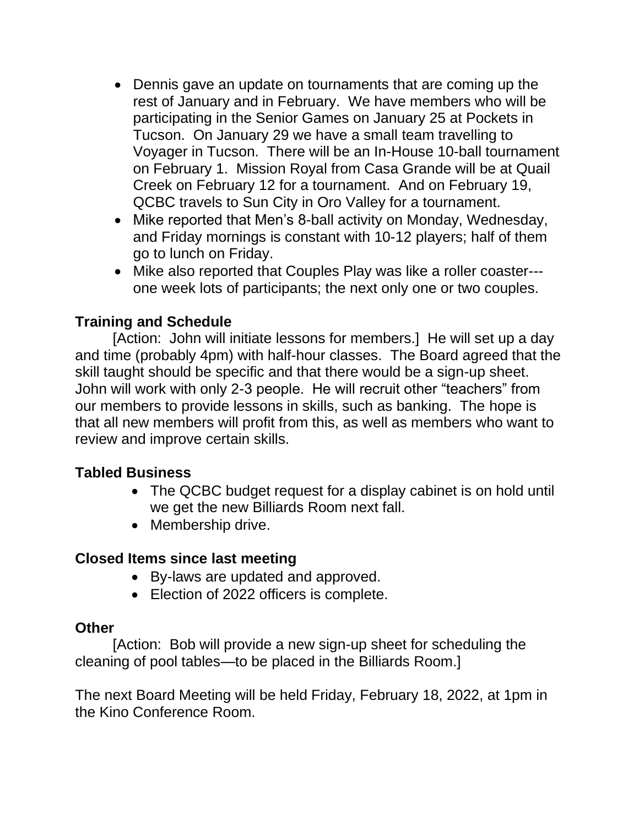- Dennis gave an update on tournaments that are coming up the rest of January and in February. We have members who will be participating in the Senior Games on January 25 at Pockets in Tucson. On January 29 we have a small team travelling to Voyager in Tucson. There will be an In-House 10-ball tournament on February 1. Mission Royal from Casa Grande will be at Quail Creek on February 12 for a tournament. And on February 19, QCBC travels to Sun City in Oro Valley for a tournament.
- Mike reported that Men's 8-ball activity on Monday, Wednesday, and Friday mornings is constant with 10-12 players; half of them go to lunch on Friday.
- Mike also reported that Couples Play was like a roller coaster-- one week lots of participants; the next only one or two couples.

## **Training and Schedule**

 [Action: John will initiate lessons for members.] He will set up a day and time (probably 4pm) with half-hour classes. The Board agreed that the skill taught should be specific and that there would be a sign-up sheet. John will work with only 2-3 people. He will recruit other "teachers" from our members to provide lessons in skills, such as banking. The hope is that all new members will profit from this, as well as members who want to review and improve certain skills.

### **Tabled Business**

- The QCBC budget request for a display cabinet is on hold until we get the new Billiards Room next fall.
- Membership drive.

### **Closed Items since last meeting**

- By-laws are updated and approved.
- Election of 2022 officers is complete.

### **Other**

[Action: Bob will provide a new sign-up sheet for scheduling the cleaning of pool tables—to be placed in the Billiards Room.]

The next Board Meeting will be held Friday, February 18, 2022, at 1pm in the Kino Conference Room.